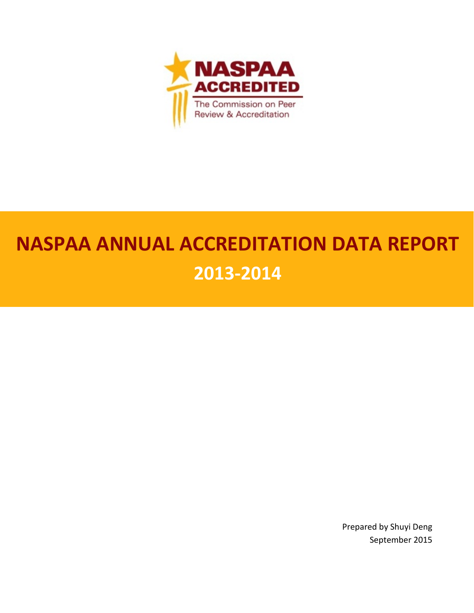

# **NASPAA ANNUAL ACCREDITATION DATA REPORT 2013-2014**

Prepared by Shuyi Deng September 2015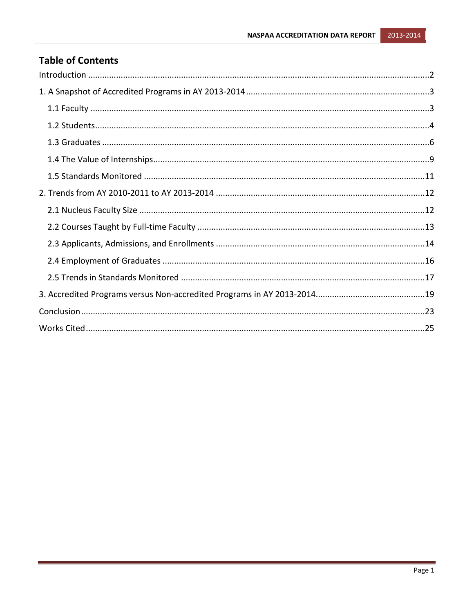## **Table of Contents**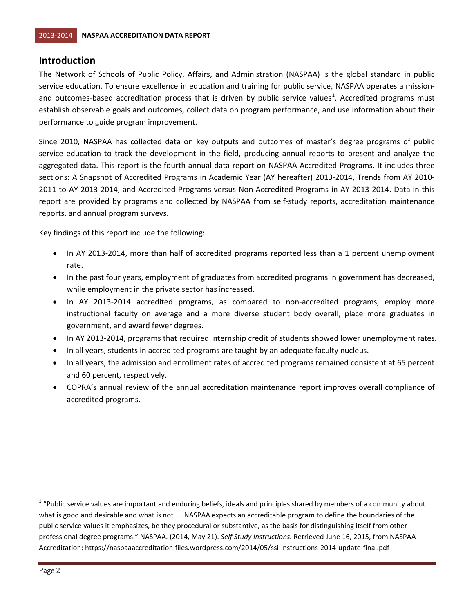#### <span id="page-2-0"></span>**Introduction**

The Network of Schools of Public Policy, Affairs, and Administration (NASPAA) is the global standard in public service education. To ensure excellence in education and training for public service, NASPAA operates a mission-and outcomes-based accreditation process that is driven by public service values<sup>[1](#page-2-1)</sup>. Accredited programs must establish observable goals and outcomes, collect data on program performance, and use information about their performance to guide program improvement.

Since 2010, NASPAA has collected data on key outputs and outcomes of master's degree programs of public service education to track the development in the field, producing annual reports to present and analyze the aggregated data. This report is the fourth annual data report on NASPAA Accredited Programs. It includes three sections: A Snapshot of Accredited Programs in Academic Year (AY hereafter) 2013-2014, Trends from AY 2010- 2011 to AY 2013-2014, and Accredited Programs versus Non-Accredited Programs in AY 2013-2014. Data in this report are provided by programs and collected by NASPAA from self-study reports, accreditation maintenance reports, and annual program surveys.

Key findings of this report include the following:

- In AY 2013-2014, more than half of accredited programs reported less than a 1 percent unemployment rate.
- In the past four years, employment of graduates from accredited programs in government has decreased, while employment in the private sector has increased.
- In AY 2013-2014 accredited programs, as compared to non-accredited programs, employ more instructional faculty on average and a more diverse student body overall, place more graduates in government, and award fewer degrees.
- In AY 2013-2014, programs that required internship credit of students showed lower unemployment rates.
- In all years, students in accredited programs are taught by an adequate faculty nucleus.
- In all years, the admission and enrollment rates of accredited programs remained consistent at 65 percent and 60 percent, respectively.
- COPRA's annual review of the annual accreditation maintenance report improves overall compliance of accredited programs.

<span id="page-2-1"></span> $1$  "Public service values are important and enduring beliefs, ideals and principles shared by members of a community about what is good and desirable and what is not……NASPAA expects an accreditable program to define the boundaries of the public service values it emphasizes, be they procedural or substantive, as the basis for distinguishing itself from other professional degree programs." NASPAA. (2014, May 21). *Self Study Instructions.* Retrieved June 16, 2015, from NASPAA Accreditation: https://naspaaaccreditation.files.wordpress.com/2014/05/ssi-instructions-2014-update-final.pdf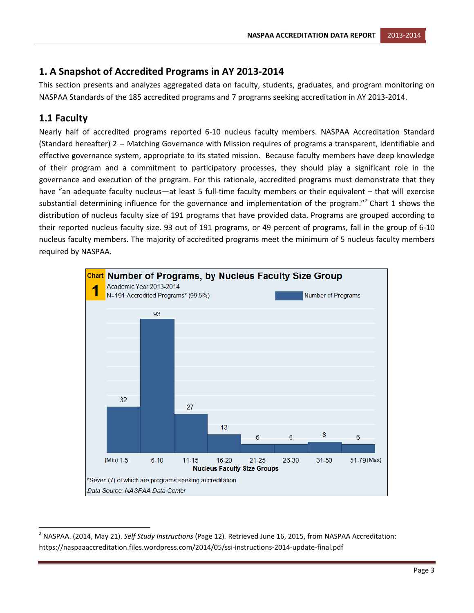## <span id="page-3-0"></span>**1. A Snapshot of Accredited Programs in AY 2013-2014**

This section presents and analyzes aggregated data on faculty, students, graduates, and program monitoring on NASPAA Standards of the 185 accredited programs and 7 programs seeking accreditation in AY 2013-2014.

## <span id="page-3-1"></span>**1.1 Faculty**

Nearly half of accredited programs reported 6-10 nucleus faculty members. NASPAA Accreditation Standard (Standard hereafter) 2 -- Matching Governance with Mission requires of programs a transparent, identifiable and effective governance system, appropriate to its stated mission. Because faculty members have deep knowledge of their program and a commitment to participatory processes, they should play a significant role in the governance and execution of the program. For this rationale, accredited programs must demonstrate that they have "an adequate faculty nucleus—at least 5 full-time faculty members or their equivalent – that will exercise substantial determining influence for the governance and implementation of the program."<sup>[2](#page-3-2)</sup> Chart 1 shows the distribution of nucleus faculty size of 191 programs that have provided data. Programs are grouped according to their reported nucleus faculty size. 93 out of 191 programs, or 49 percent of programs, fall in the group of 6-10 nucleus faculty members. The majority of accredited programs meet the minimum of 5 nucleus faculty members required by NASPAA.



<span id="page-3-2"></span> <sup>2</sup> NASPAA. (2014, May 21). *Self Study Instructions* (Page 12)*.* Retrieved June 16, 2015, from NASPAA Accreditation: https://naspaaaccreditation.files.wordpress.com/2014/05/ssi-instructions-2014-update-final.pdf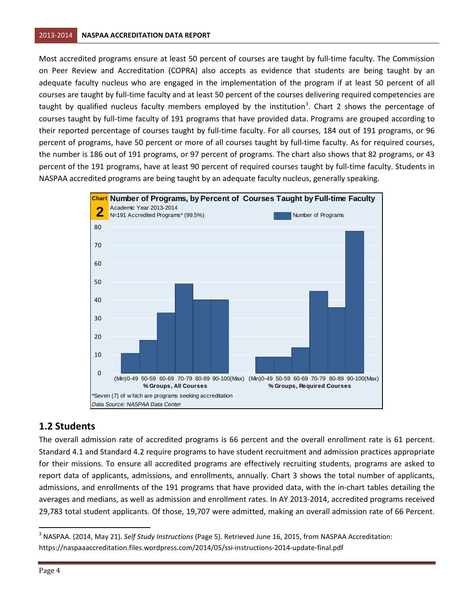Most accredited programs ensure at least 50 percent of courses are taught by full-time faculty. The Commission on Peer Review and Accreditation (COPRA) also accepts as evidence that students are being taught by an adequate faculty nucleus who are engaged in the implementation of the program if at least 50 percent of all courses are taught by full-time faculty and at least 50 percent of the courses delivering required competencies are taught by qualified nucleus faculty members employed by the institution<sup>[3](#page-4-1)</sup>. Chart 2 shows the percentage of courses taught by full-time faculty of 191 programs that have provided data. Programs are grouped according to their reported percentage of courses taught by full-time faculty. For all courses, 184 out of 191 programs, or 96 percent of programs, have 50 percent or more of all courses taught by full-time faculty. As for required courses, the number is 186 out of 191 programs, or 97 percent of programs. The chart also shows that 82 programs, or 43 percent of the 191 programs, have at least 90 percent of required courses taught by full-time faculty. Students in NASPAA accredited programs are being taught by an adequate faculty nucleus, generally speaking.



## <span id="page-4-0"></span>**1.2 Students**

The overall admission rate of accredited programs is 66 percent and the overall enrollment rate is 61 percent. Standard 4.1 and Standard 4.2 require programs to have student recruitment and admission practices appropriate for their missions. To ensure all accredited programs are effectively recruiting students, programs are asked to report data of applicants, admissions, and enrollments, annually. Chart 3 shows the total number of applicants, admissions, and enrollments of the 191 programs that have provided data, with the in-chart tables detailing the averages and medians, as well as admission and enrollment rates. In AY 2013-2014, accredited programs received 29,783 total student applicants. Of those, 19,707 were admitted, making an overall admission rate of 66 Percent.

<span id="page-4-1"></span> <sup>3</sup> NASPAA. (2014, May 21). *Self Study Instructions* (Page 5)*.* Retrieved June 16, 2015, from NASPAA Accreditation: https://naspaaaccreditation.files.wordpress.com/2014/05/ssi-instructions-2014-update-final.pdf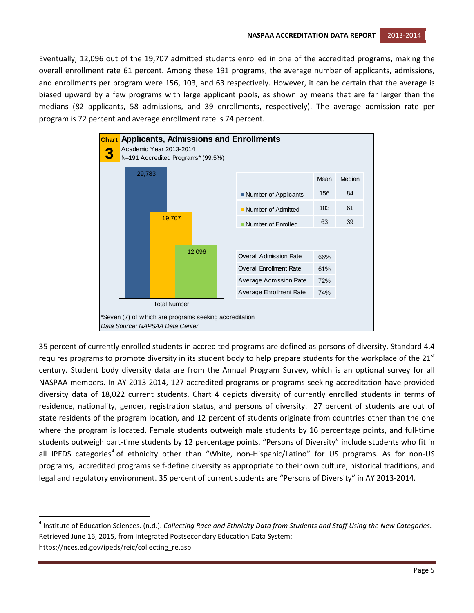Eventually, 12,096 out of the 19,707 admitted students enrolled in one of the accredited programs, making the overall enrollment rate 61 percent. Among these 191 programs, the average number of applicants, admissions, and enrollments per program were 156, 103, and 63 respectively. However, it can be certain that the average is biased upward by a few programs with large applicant pools, as shown by means that are far larger than the medians (82 applicants, 58 admissions, and 39 enrollments, respectively). The average admission rate per program is 72 percent and average enrollment rate is 74 percent.



35 percent of currently enrolled students in accredited programs are defined as persons of diversity. Standard 4.4 requires programs to promote diversity in its student body to help prepare students for the workplace of the  $21<sup>st</sup>$ century. Student body diversity data are from the Annual Program Survey, which is an optional survey for all NASPAA members. In AY 2013-2014, 127 accredited programs or programs seeking accreditation have provided diversity data of 18,022 current students. Chart 4 depicts diversity of currently enrolled students in terms of residence, nationality, gender, registration status, and persons of diversity. 27 percent of students are out of state residents of the program location, and 12 percent of students originate from countries other than the one where the program is located. Female students outweigh male students by 16 percentage points, and full-time students outweigh part-time students by 12 percentage points. "Persons of Diversity" include students who fit in all IPEDS categories<sup>[4](#page-5-0)</sup> of ethnicity other than "White, non-Hispanic/Latino" for US programs. As for non-US programs, accredited programs self-define diversity as appropriate to their own culture, historical traditions, and legal and regulatory environment. 35 percent of current students are "Persons of Diversity" in AY 2013-2014.

<span id="page-5-0"></span> <sup>4</sup> Institute of Education Sciences. (n.d.). *Collecting Race and Ethnicity Data from Students and Staff Using the New Categories*. Retrieved June 16, 2015, from Integrated Postsecondary Education Data System: https://nces.ed.gov/ipeds/reic/collecting\_re.asp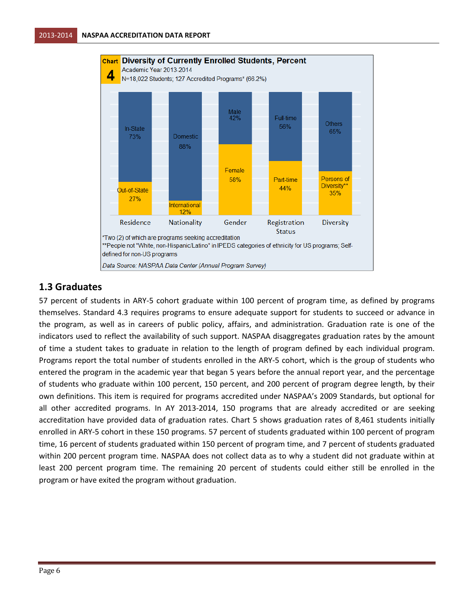

#### <span id="page-6-0"></span>**1.3 Graduates**

57 percent of students in ARY-5 cohort graduate within 100 percent of program time, as defined by programs themselves. Standard 4.3 requires programs to ensure adequate support for students to succeed or advance in the program, as well as in careers of public policy, affairs, and administration. Graduation rate is one of the indicators used to reflect the availability of such support. NASPAA disaggregates graduation rates by the amount of time a student takes to graduate in relation to the length of program defined by each individual program. Programs report the total number of students enrolled in the ARY-5 cohort, which is the group of students who entered the program in the academic year that began 5 years before the annual report year, and the percentage of students who graduate within 100 percent, 150 percent, and 200 percent of program degree length, by their own definitions. This item is required for programs accredited under NASPAA's 2009 Standards, but optional for all other accredited programs. In AY 2013-2014, 150 programs that are already accredited or are seeking accreditation have provided data of graduation rates. Chart 5 shows graduation rates of 8,461 students initially enrolled in ARY-5 cohort in these 150 programs. 57 percent of students graduated within 100 percent of program time, 16 percent of students graduated within 150 percent of program time, and 7 percent of students graduated within 200 percent program time. NASPAA does not collect data as to why a student did not graduate within at least 200 percent program time. The remaining 20 percent of students could either still be enrolled in the program or have exited the program without graduation.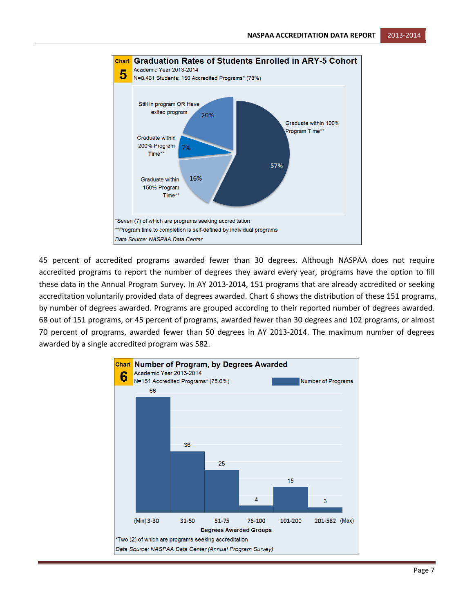

45 percent of accredited programs awarded fewer than 30 degrees. Although NASPAA does not require accredited programs to report the number of degrees they award every year, programs have the option to fill these data in the Annual Program Survey. In AY 2013-2014, 151 programs that are already accredited or seeking accreditation voluntarily provided data of degrees awarded. Chart 6 shows the distribution of these 151 programs, by number of degrees awarded. Programs are grouped according to their reported number of degrees awarded. 68 out of 151 programs, or 45 percent of programs, awarded fewer than 30 degrees and 102 programs, or almost 70 percent of programs, awarded fewer than 50 degrees in AY 2013-2014. The maximum number of degrees awarded by a single accredited program was 582.

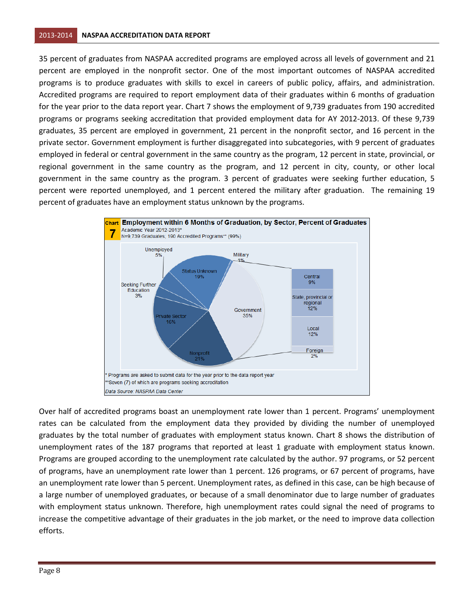35 percent of graduates from NASPAA accredited programs are employed across all levels of government and 21 percent are employed in the nonprofit sector. One of the most important outcomes of NASPAA accredited programs is to produce graduates with skills to excel in careers of public policy, affairs, and administration. Accredited programs are required to report employment data of their graduates within 6 months of graduation for the year prior to the data report year. Chart 7 shows the employment of 9,739 graduates from 190 accredited programs or programs seeking accreditation that provided employment data for AY 2012-2013. Of these 9,739 graduates, 35 percent are employed in government, 21 percent in the nonprofit sector, and 16 percent in the private sector. Government employment is further disaggregated into subcategories, with 9 percent of graduates employed in federal or central government in the same country as the program, 12 percent in state, provincial, or regional government in the same country as the program, and 12 percent in city, county, or other local government in the same country as the program. 3 percent of graduates were seeking further education, 5 percent were reported unemployed, and 1 percent entered the military after graduation. The remaining 19 percent of graduates have an employment status unknown by the programs.



Over half of accredited programs boast an unemployment rate lower than 1 percent. Programs' unemployment rates can be calculated from the employment data they provided by dividing the number of unemployed graduates by the total number of graduates with employment status known. Chart 8 shows the distribution of unemployment rates of the 187 programs that reported at least 1 graduate with employment status known. Programs are grouped according to the unemployment rate calculated by the author. 97 programs, or 52 percent of programs, have an unemployment rate lower than 1 percent. 126 programs, or 67 percent of programs, have an unemployment rate lower than 5 percent. Unemployment rates, as defined in this case, can be high because of a large number of unemployed graduates, or because of a small denominator due to large number of graduates with employment status unknown. Therefore, high unemployment rates could signal the need of programs to increase the competitive advantage of their graduates in the job market, or the need to improve data collection efforts.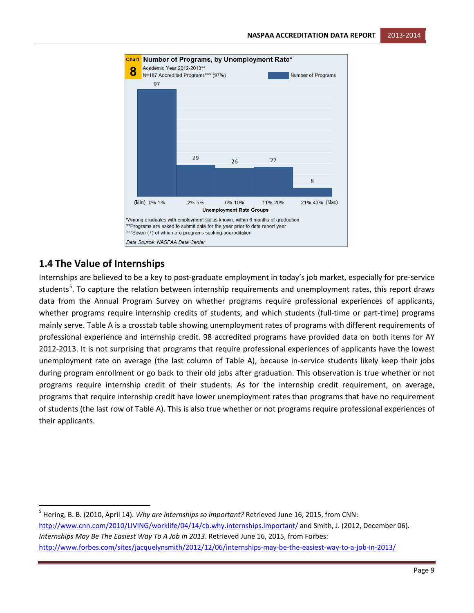

#### <span id="page-9-0"></span>**1.4 The Value of Internships**

Internships are believed to be a key to post-graduate employment in today's job market, especially for pre-service students<sup>[5](#page-9-1)</sup>. To capture the relation between internship requirements and unemployment rates, this report draws data from the Annual Program Survey on whether programs require professional experiences of applicants, whether programs require internship credits of students, and which students (full-time or part-time) programs mainly serve. Table A is a crosstab table showing unemployment rates of programs with different requirements of professional experience and internship credit. 98 accredited programs have provided data on both items for AY 2012-2013. It is not surprising that programs that require professional experiences of applicants have the lowest unemployment rate on average (the last column of Table A), because in-service students likely keep their jobs during program enrollment or go back to their old jobs after graduation. This observation is true whether or not programs require internship credit of their students. As for the internship credit requirement, on average, programs that require internship credit have lower unemployment rates than programs that have no requirement of students (the last row of Table A). This is also true whether or not programs require professional experiences of their applicants.

<span id="page-9-1"></span> 5 Hering, B. B. (2010, April 14). *Why are internships so important?* Retrieved June 16, 2015, from CNN: <http://www.cnn.com/2010/LIVING/worklife/04/14/cb.why.internships.important/> and Smith, J. (2012, December 06). *Internships May Be The Easiest Way To A Job In 2013*. Retrieved June 16, 2015, from Forbes: <http://www.forbes.com/sites/jacquelynsmith/2012/12/06/internships-may-be-the-easiest-way-to-a-job-in-2013/>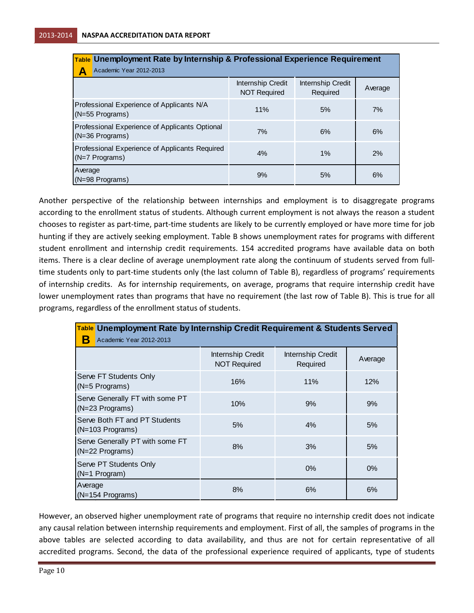| Table Unemployment Rate by Internship & Professional Experience Requirement |                                          |                               |         |  |  |
|-----------------------------------------------------------------------------|------------------------------------------|-------------------------------|---------|--|--|
| Academic Year 2012-2013<br>Α                                                |                                          |                               |         |  |  |
|                                                                             | Internship Credit<br><b>NOT Required</b> | Internship Credit<br>Required | Average |  |  |
| Professional Experience of Applicants N/A<br>$(N=55$ Programs)              | 11%                                      | 5%                            | 7%      |  |  |
| Professional Experience of Applicants Optional<br>$(N=36$ Programs)         | 7%                                       | 6%                            | 6%      |  |  |
| Professional Experience of Applicants Required<br>$(N=7$ Programs)          | 4%                                       | $1\%$                         | 2%      |  |  |
| Average<br>$(N=98$ Programs)                                                | 9%                                       | 5%                            | 6%      |  |  |

Another perspective of the relationship between internships and employment is to disaggregate programs according to the enrollment status of students. Although current employment is not always the reason a student chooses to register as part-time, part-time students are likely to be currently employed or have more time for job hunting if they are actively seeking employment. Table B shows unemployment rates for programs with different student enrollment and internship credit requirements. 154 accredited programs have available data on both items. There is a clear decline of average unemployment rate along the continuum of students served from fulltime students only to part-time students only (the last column of Table B), regardless of programs' requirements of internship credits. As for internship requirements, on average, programs that require internship credit have lower unemployment rates than programs that have no requirement (the last row of Table B). This is true for all programs, regardless of the enrollment status of students.

| Table Unemployment Rate by Internship Credit Requirement & Students Served |                                          |                               |         |  |  |  |
|----------------------------------------------------------------------------|------------------------------------------|-------------------------------|---------|--|--|--|
| Academic Year 2012-2013                                                    |                                          |                               |         |  |  |  |
|                                                                            | Internship Credit<br><b>NOT Required</b> | Internship Credit<br>Required | Average |  |  |  |
| Serve FT Students Only<br>(N=5 Programs)                                   | 16%                                      | 11%                           | 12%     |  |  |  |
| Serve Generally FT with some PT<br>(N=23 Programs)                         | 10%                                      | 9%                            | 9%      |  |  |  |
| Serve Both FT and PT Students<br>(N=103 Programs)                          | 5%                                       | 4%                            | 5%      |  |  |  |
| Serve Generally PT with some FT<br>(N=22 Programs)                         | 8%                                       | 3%                            | 5%      |  |  |  |
| Serve PT Students Only<br>$(N=1$ Program)                                  |                                          | $0\%$                         | $0\%$   |  |  |  |
| Average<br>$(N=154$ Programs)                                              | 8%                                       | 6%                            | 6%      |  |  |  |

However, an observed higher unemployment rate of programs that require no internship credit does not indicate any causal relation between internship requirements and employment. First of all, the samples of programs in the above tables are selected according to data availability, and thus are not for certain representative of all accredited programs. Second, the data of the professional experience required of applicants, type of students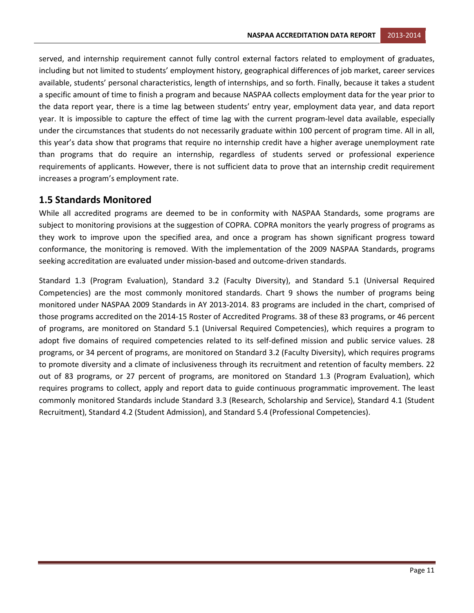served, and internship requirement cannot fully control external factors related to employment of graduates, including but not limited to students' employment history, geographical differences of job market, career services available, students' personal characteristics, length of internships, and so forth. Finally, because it takes a student a specific amount of time to finish a program and because NASPAA collects employment data for the year prior to the data report year, there is a time lag between students' entry year, employment data year, and data report year. It is impossible to capture the effect of time lag with the current program-level data available, especially under the circumstances that students do not necessarily graduate within 100 percent of program time. All in all, this year's data show that programs that require no internship credit have a higher average unemployment rate than programs that do require an internship, regardless of students served or professional experience requirements of applicants. However, there is not sufficient data to prove that an internship credit requirement increases a program's employment rate.

#### <span id="page-11-0"></span>**1.5 Standards Monitored**

While all accredited programs are deemed to be in conformity with NASPAA Standards, some programs are subject to monitoring provisions at the suggestion of COPRA. COPRA monitors the yearly progress of programs as they work to improve upon the specified area, and once a program has shown significant progress toward conformance, the monitoring is removed. With the implementation of the 2009 NASPAA Standards, programs seeking accreditation are evaluated under mission-based and outcome-driven standards.

Standard 1.3 (Program Evaluation), Standard 3.2 (Faculty Diversity), and Standard 5.1 (Universal Required Competencies) are the most commonly monitored standards. Chart 9 shows the number of programs being monitored under NASPAA 2009 Standards in AY 2013-2014. 83 programs are included in the chart, comprised of those programs accredited on the 2014-15 Roster of Accredited Programs. 38 of these 83 programs, or 46 percent of programs, are monitored on Standard 5.1 (Universal Required Competencies), which requires a program to adopt five domains of required competencies related to its self-defined mission and public service values. 28 programs, or 34 percent of programs, are monitored on Standard 3.2 (Faculty Diversity), which requires programs to promote diversity and a climate of inclusiveness through its recruitment and retention of faculty members. 22 out of 83 programs, or 27 percent of programs, are monitored on Standard 1.3 (Program Evaluation), which requires programs to collect, apply and report data to guide continuous programmatic improvement. The least commonly monitored Standards include Standard 3.3 (Research, Scholarship and Service), Standard 4.1 (Student Recruitment), Standard 4.2 (Student Admission), and Standard 5.4 (Professional Competencies).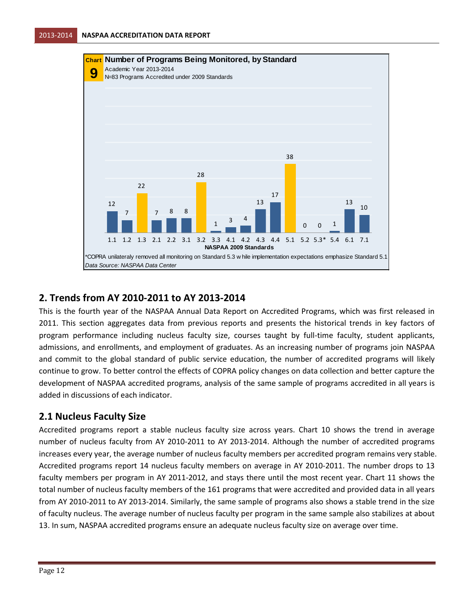

## <span id="page-12-0"></span>**2. Trends from AY 2010-2011 to AY 2013-2014**

This is the fourth year of the NASPAA Annual Data Report on Accredited Programs, which was first released in 2011. This section aggregates data from previous reports and presents the historical trends in key factors of program performance including nucleus faculty size, courses taught by full-time faculty, student applicants, admissions, and enrollments, and employment of graduates. As an increasing number of programs join NASPAA and commit to the global standard of public service education, the number of accredited programs will likely continue to grow. To better control the effects of COPRA policy changes on data collection and better capture the development of NASPAA accredited programs, analysis of the same sample of programs accredited in all years is added in discussions of each indicator.

#### <span id="page-12-1"></span>**2.1 Nucleus Faculty Size**

Accredited programs report a stable nucleus faculty size across years. Chart 10 shows the trend in average number of nucleus faculty from AY 2010-2011 to AY 2013-2014. Although the number of accredited programs increases every year, the average number of nucleus faculty members per accredited program remains very stable. Accredited programs report 14 nucleus faculty members on average in AY 2010-2011. The number drops to 13 faculty members per program in AY 2011-2012, and stays there until the most recent year. Chart 11 shows the total number of nucleus faculty members of the 161 programs that were accredited and provided data in all years from AY 2010-2011 to AY 2013-2014. Similarly, the same sample of programs also shows a stable trend in the size of faculty nucleus. The average number of nucleus faculty per program in the same sample also stabilizes at about 13. In sum, NASPAA accredited programs ensure an adequate nucleus faculty size on average over time.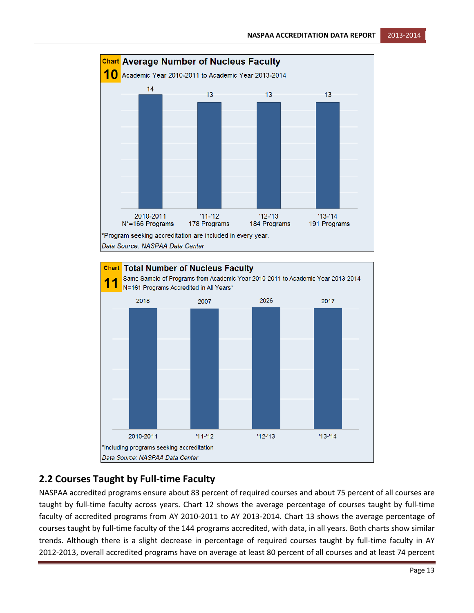

## <span id="page-13-0"></span>**2.2 Courses Taught by Full-time Faculty**

NASPAA accredited programs ensure about 83 percent of required courses and about 75 percent of all courses are taught by full-time faculty across years. Chart 12 shows the average percentage of courses taught by full-time faculty of accredited programs from AY 2010-2011 to AY 2013-2014. Chart 13 shows the average percentage of courses taught by full-time faculty of the 144 programs accredited, with data, in all years. Both charts show similar trends. Although there is a slight decrease in percentage of required courses taught by full-time faculty in AY 2012-2013, overall accredited programs have on average at least 80 percent of all courses and at least 74 percent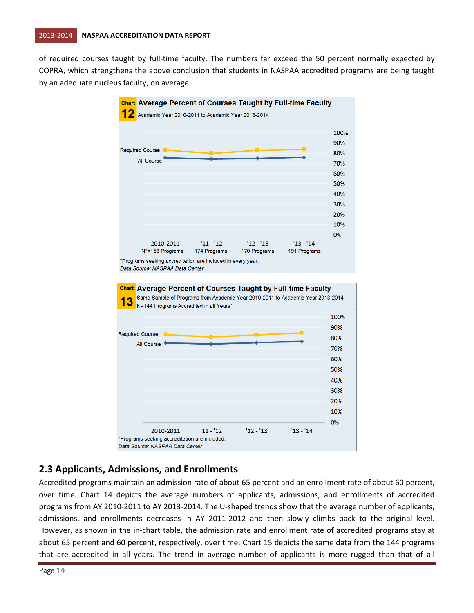of required courses taught by full-time faculty. The numbers far exceed the 50 percent normally expected by COPRA, which strengthens the above conclusion that students in NASPAA accredited programs are being taught by an adequate nucleus faculty, on average.



## <span id="page-14-0"></span>**2.3 Applicants, Admissions, and Enrollments**

2010-2011

\*Programs seeking accreditation are included. Data Source: NASPAA Data Center

Accredited programs maintain an admission rate of about 65 percent and an enrollment rate of about 60 percent, over time. Chart 14 depicts the average numbers of applicants, admissions, and enrollments of accredited programs from AY 2010-2011 to AY 2013-2014. The U-shaped trends show that the average number of applicants, admissions, and enrollments decreases in AY 2011-2012 and then slowly climbs back to the original level. However, as shown in the in-chart table, the admission rate and enrollment rate of accredited programs stay at about 65 percent and 60 percent, respectively, over time. Chart 15 depicts the same data from the 144 programs that are accredited in all years. The trend in average number of applicants is more rugged than that of all

 $'11 - '12$ 

 $12 - 13$ 

 $'13 - '14$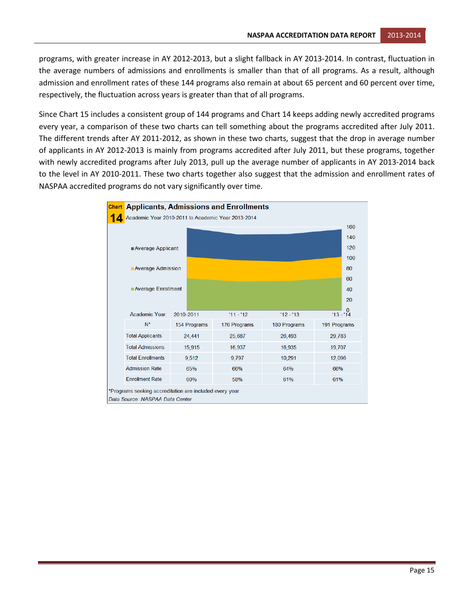programs, with greater increase in AY 2012-2013, but a slight fallback in AY 2013-2014. In contrast, fluctuation in the average numbers of admissions and enrollments is smaller than that of all programs. As a result, although admission and enrollment rates of these 144 programs also remain at about 65 percent and 60 percent over time, respectively, the fluctuation across years is greater than that of all programs.

Since Chart 15 includes a consistent group of 144 programs and Chart 14 keeps adding newly accredited programs every year, a comparison of these two charts can tell something about the programs accredited after July 2011. The different trends after AY 2011-2012, as shown in these two charts, suggest that the drop in average number of applicants in AY 2012-2013 is mainly from programs accredited after July 2011, but these programs, together with newly accredited programs after July 2013, pull up the average number of applicants in AY 2013-2014 back to the level in AY 2010-2011. These two charts together also suggest that the admission and enrollment rates of NASPAA accredited programs do not vary significantly over time.

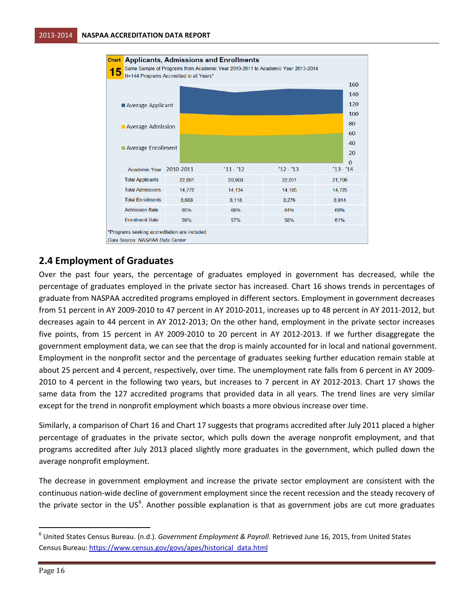

#### <span id="page-16-0"></span>**2.4 Employment of Graduates**

Over the past four years, the percentage of graduates employed in government has decreased, while the percentage of graduates employed in the private sector has increased. Chart 16 shows trends in percentages of graduate from NASPAA accredited programs employed in different sectors. Employment in government decreases from 51 percent in AY 2009-2010 to 47 percent in AY 2010-2011, increases up to 48 percent in AY 2011-2012, but decreases again to 44 percent in AY 2012-2013; On the other hand, employment in the private sector increases five points, from 15 percent in AY 2009-2010 to 20 percent in AY 2012-2013. If we further disaggregate the government employment data, we can see that the drop is mainly accounted for in local and national government. Employment in the nonprofit sector and the percentage of graduates seeking further education remain stable at about 25 percent and 4 percent, respectively, over time. The unemployment rate falls from 6 percent in AY 2009- 2010 to 4 percent in the following two years, but increases to 7 percent in AY 2012-2013. Chart 17 shows the same data from the 127 accredited programs that provided data in all years. The trend lines are very similar except for the trend in nonprofit employment which boasts a more obvious increase over time.

Similarly, a comparison of Chart 16 and Chart 17 suggests that programs accredited after July 2011 placed a higher percentage of graduates in the private sector, which pulls down the average nonprofit employment, and that programs accredited after July 2013 placed slightly more graduates in the government, which pulled down the average nonprofit employment.

The decrease in government employment and increase the private sector employment are consistent with the continuous nation-wide decline of government employment since the recent recession and the steady recovery of the private sector in the US<sup>[6](#page-16-1)</sup>. Another possible explanation is that as government jobs are cut more graduates

<span id="page-16-1"></span> <sup>6</sup> United States Census Bureau. (n.d.). *Government Employment & Payroll.* Retrieved June 16, 2015, from United States Census Bureau[: https://www.census.gov/govs/apes/historical\\_data.html](https://www.census.gov/govs/apes/historical_data.html)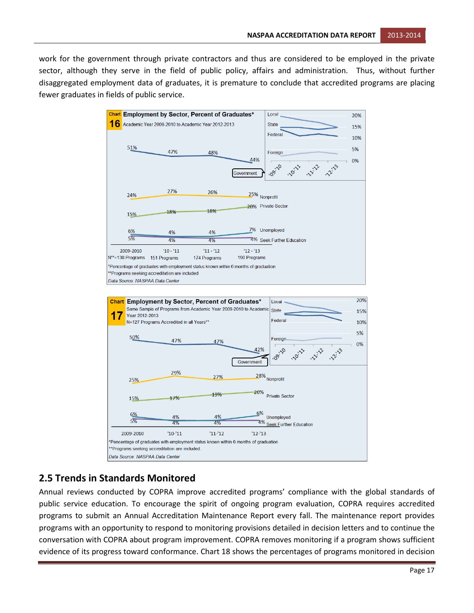work for the government through private contractors and thus are considered to be employed in the private sector, although they serve in the field of public policy, affairs and administration. Thus, without further disaggregated employment data of graduates, it is premature to conclude that accredited programs are placing fewer graduates in fields of public service.



#### <span id="page-17-0"></span>**2.5 Trends in Standards Monitored**

Annual reviews conducted by COPRA improve accredited programs' compliance with the global standards of public service education. To encourage the spirit of ongoing program evaluation, COPRA requires accredited programs to submit an Annual Accreditation Maintenance Report every fall. The maintenance report provides programs with an opportunity to respond to monitoring provisions detailed in decision letters and to continue the conversation with COPRA about program improvement. COPRA removes monitoring if a program shows sufficient evidence of its progress toward conformance. Chart 18 shows the percentages of programs monitored in decision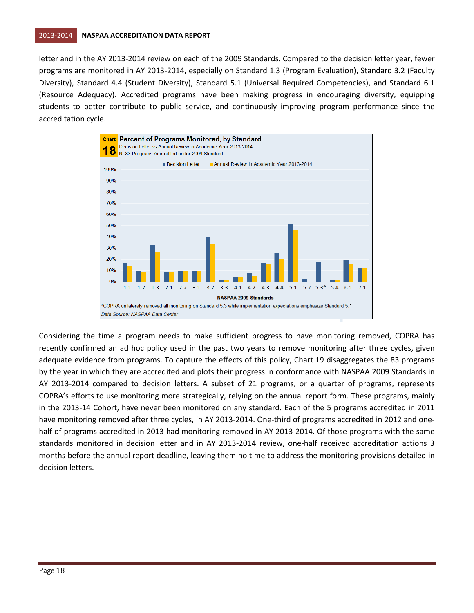letter and in the AY 2013-2014 review on each of the 2009 Standards. Compared to the decision letter year, fewer programs are monitored in AY 2013-2014, especially on Standard 1.3 (Program Evaluation), Standard 3.2 (Faculty Diversity), Standard 4.4 (Student Diversity), Standard 5.1 (Universal Required Competencies), and Standard 6.1 (Resource Adequacy). Accredited programs have been making progress in encouraging diversity, equipping students to better contribute to public service, and continuously improving program performance since the accreditation cycle.



Considering the time a program needs to make sufficient progress to have monitoring removed, COPRA has recently confirmed an ad hoc policy used in the past two years to remove monitoring after three cycles, given adequate evidence from programs. To capture the effects of this policy, Chart 19 disaggregates the 83 programs by the year in which they are accredited and plots their progress in conformance with NASPAA 2009 Standards in AY 2013-2014 compared to decision letters. A subset of 21 programs, or a quarter of programs, represents COPRA's efforts to use monitoring more strategically, relying on the annual report form. These programs, mainly in the 2013-14 Cohort, have never been monitored on any standard. Each of the 5 programs accredited in 2011 have monitoring removed after three cycles, in AY 2013-2014. One-third of programs accredited in 2012 and onehalf of programs accredited in 2013 had monitoring removed in AY 2013-2014. Of those programs with the same standards monitored in decision letter and in AY 2013-2014 review, one-half received accreditation actions 3 months before the annual report deadline, leaving them no time to address the monitoring provisions detailed in decision letters.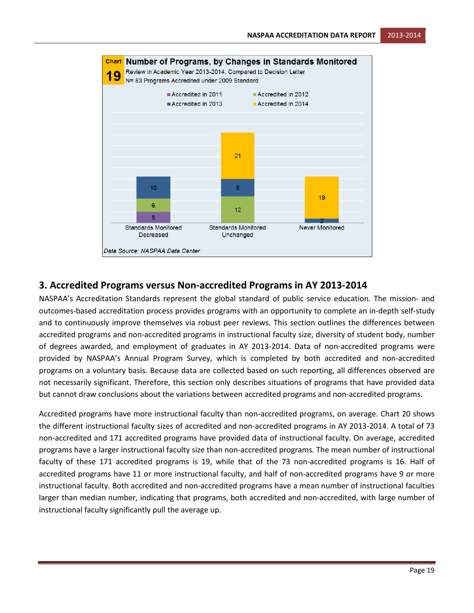

#### <span id="page-19-0"></span>**3. Accredited Programs versus Non-accredited Programs in AY 2013-2014**

NASPAA's Accreditation Standards represent the global standard of public service education. The mission- and outcomes-based accreditation process provides programs with an opportunity to complete an in-depth self-study and to continuously improve themselves via robust peer reviews. This section outlines the differences between accredited programs and non-accredited programs in instructional faculty size, diversity of student body, number of degrees awarded, and employment of graduates in AY 2013-2014. Data of non-accredited programs were provided by NASPAA's Annual Program Survey, which is completed by both accredited and non-accredited programs on a voluntary basis. Because data are collected based on such reporting, all differences observed are not necessarily significant. Therefore, this section only describes situations of programs that have provided data but cannot draw conclusions about the variations between accredited programs and non-accredited programs.

Accredited programs have more instructional faculty than non-accredited programs, on average. Chart 20 shows the different instructional faculty sizes of accredited and non-accredited programs in AY 2013-2014. A total of 73 non-accredited and 171 accredited programs have provided data of instructional faculty. On average, accredited programs have a larger instructional faculty size than non-accredited programs. The mean number of instructional faculty of these 171 accredited programs is 19, while that of the 73 non-accredited programs is 16. Half of accredited programs have 11 or more instructional faculty, and half of non-accredited programs have 9 or more instructional faculty. Both accredited and non-accredited programs have a mean number of instructional faculties larger than median number, indicating that programs, both accredited and non-accredited, with large number of instructional faculty significantly pull the average up.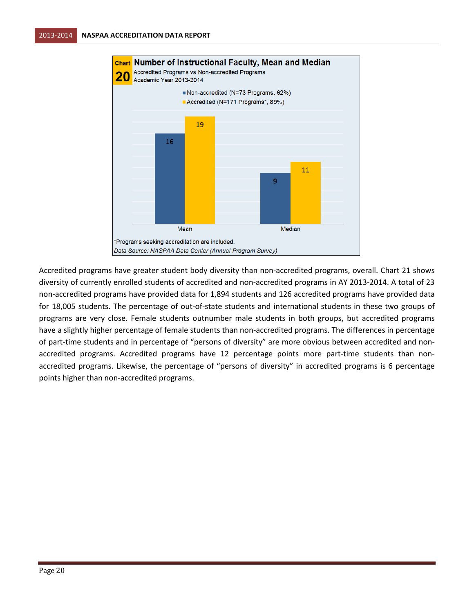

Accredited programs have greater student body diversity than non-accredited programs, overall. Chart 21 shows diversity of currently enrolled students of accredited and non-accredited programs in AY 2013-2014. A total of 23 non-accredited programs have provided data for 1,894 students and 126 accredited programs have provided data for 18,005 students. The percentage of out-of-state students and international students in these two groups of programs are very close. Female students outnumber male students in both groups, but accredited programs have a slightly higher percentage of female students than non-accredited programs. The differences in percentage of part-time students and in percentage of "persons of diversity" are more obvious between accredited and nonaccredited programs. Accredited programs have 12 percentage points more part-time students than nonaccredited programs. Likewise, the percentage of "persons of diversity" in accredited programs is 6 percentage points higher than non-accredited programs.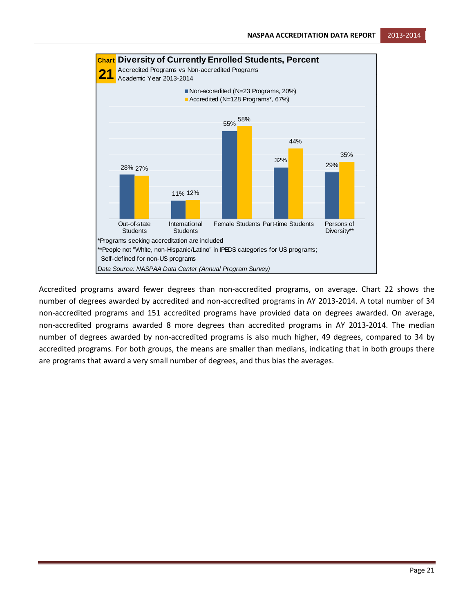



Accredited programs award fewer degrees than non-accredited programs, on average. Chart 22 shows the number of degrees awarded by accredited and non-accredited programs in AY 2013-2014. A total number of 34 non-accredited programs and 151 accredited programs have provided data on degrees awarded. On average, non-accredited programs awarded 8 more degrees than accredited programs in AY 2013-2014. The median number of degrees awarded by non-accredited programs is also much higher, 49 degrees, compared to 34 by accredited programs. For both groups, the means are smaller than medians, indicating that in both groups there are programs that award a very small number of degrees, and thus bias the averages.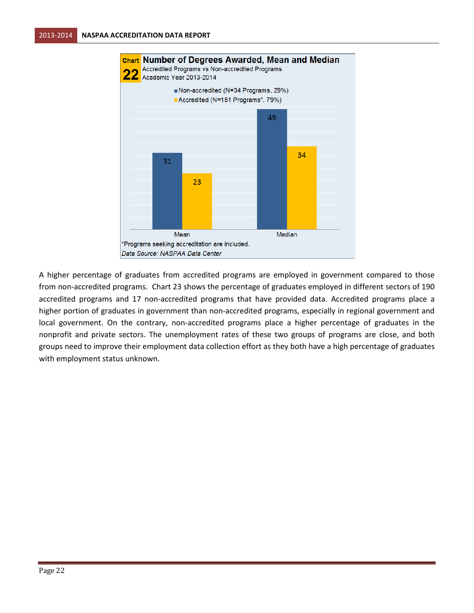

A higher percentage of graduates from accredited programs are employed in government compared to those from non-accredited programs. Chart 23 shows the percentage of graduates employed in different sectors of 190 accredited programs and 17 non-accredited programs that have provided data. Accredited programs place a higher portion of graduates in government than non-accredited programs, especially in regional government and local government. On the contrary, non-accredited programs place a higher percentage of graduates in the nonprofit and private sectors. The unemployment rates of these two groups of programs are close, and both groups need to improve their employment data collection effort as they both have a high percentage of graduates with employment status unknown.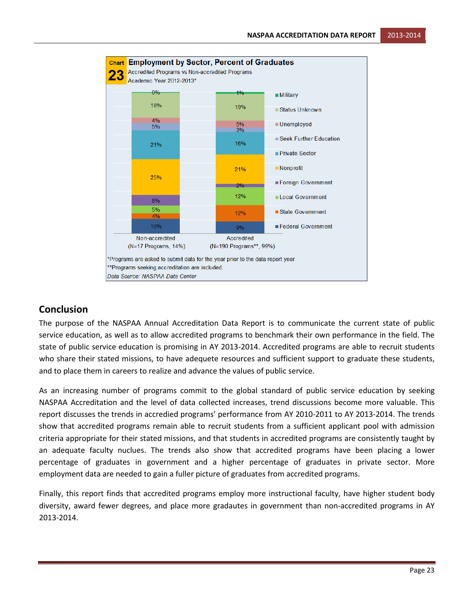

#### <span id="page-23-0"></span>**Conclusion**

The purpose of the NASPAA Annual Accreditation Data Report is to communicate the current state of public service education, as well as to allow accredited programs to benchmark their own performance in the field. The state of public service education is promising in AY 2013-2014. Accredited programs are able to recruit students who share their stated missions, to have adequete resources and sufficient support to graduate these students, and to place them in careers to realize and advance the values of public service.

As an increasing number of programs commit to the global standard of public service education by seeking NASPAA Accreditation and the level of data collected increases, trend discussions become more valuable. This report discusses the trends in accredied programs' performance from AY 2010-2011 to AY 2013-2014. The trends show that accredited programs remain able to recruit students from a sufficient applicant pool with admission criteria appropriate for their stated missions, and that students in accredited programs are consistently taught by an adequate faculty nuclues. The trends also show that accredited programs have been placing a lower percentage of graduates in government and a higher percentage of graduates in private sector. More employment data are needed to gain a fuller picture of graduates from accredited programs.

Finally, this report finds that accredited programs employ more instructional faculty, have higher student body diversity, award fewer degrees, and place more gradautes in government than non-accredited programs in AY 2013-2014.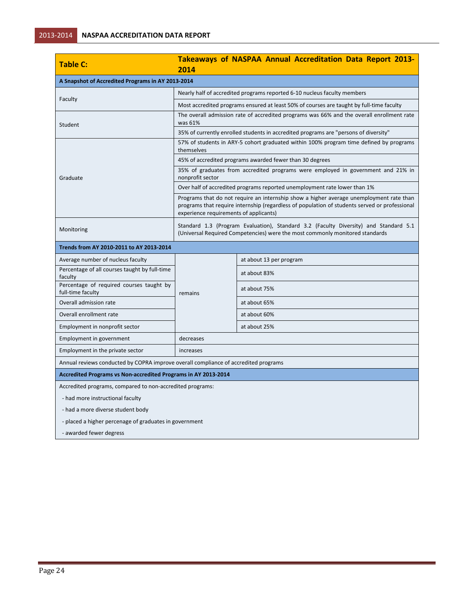| <b>Table C:</b>                                                                     | Takeaways of NASPAA Annual Accreditation Data Report 2013-<br>2014                                                                                                                                                                 |                         |  |  |
|-------------------------------------------------------------------------------------|------------------------------------------------------------------------------------------------------------------------------------------------------------------------------------------------------------------------------------|-------------------------|--|--|
| A Snapshot of Accredited Programs in AY 2013-2014                                   |                                                                                                                                                                                                                                    |                         |  |  |
|                                                                                     | Nearly half of accredited programs reported 6-10 nucleus faculty members                                                                                                                                                           |                         |  |  |
| Faculty                                                                             | Most accredited programs ensured at least 50% of courses are taught by full-time faculty                                                                                                                                           |                         |  |  |
| Student                                                                             | The overall admission rate of accredited programs was 66% and the overall enrollment rate<br>was 61%                                                                                                                               |                         |  |  |
|                                                                                     | 35% of currently enrolled students in accredited programs are "persons of diversity"                                                                                                                                               |                         |  |  |
|                                                                                     | 57% of students in ARY-5 cohort graduated within 100% program time defined by programs<br>themselves                                                                                                                               |                         |  |  |
|                                                                                     | 45% of accredited programs awarded fewer than 30 degrees                                                                                                                                                                           |                         |  |  |
| Graduate                                                                            | 35% of graduates from accredited programs were employed in government and 21% in<br>nonprofit sector                                                                                                                               |                         |  |  |
|                                                                                     | Over half of accredited programs reported unemployment rate lower than 1%                                                                                                                                                          |                         |  |  |
|                                                                                     | Programs that do not require an internship show a higher average unemployment rate than<br>programs that require internship (regardless of population of students served or professional<br>experience requirements of applicants) |                         |  |  |
| Monitoring                                                                          | Standard 1.3 (Program Evaluation), Standard 3.2 (Faculty Diversity) and Standard 5.1<br>(Universal Required Competencies) were the most commonly monitored standards                                                               |                         |  |  |
| Trends from AY 2010-2011 to AY 2013-2014                                            |                                                                                                                                                                                                                                    |                         |  |  |
| Average number of nucleus faculty                                                   |                                                                                                                                                                                                                                    | at about 13 per program |  |  |
| Percentage of all courses taught by full-time<br>faculty                            | remains                                                                                                                                                                                                                            | at about 83%            |  |  |
| Percentage of required courses taught by<br>full-time faculty                       |                                                                                                                                                                                                                                    | at about 75%            |  |  |
| Overall admission rate                                                              |                                                                                                                                                                                                                                    | at about 65%            |  |  |
| Overall enrollment rate                                                             |                                                                                                                                                                                                                                    | at about 60%            |  |  |
| Employment in nonprofit sector                                                      |                                                                                                                                                                                                                                    | at about 25%            |  |  |
| Employment in government                                                            | decreases                                                                                                                                                                                                                          |                         |  |  |
| Employment in the private sector                                                    | increases                                                                                                                                                                                                                          |                         |  |  |
| Annual reviews conducted by COPRA improve overall compliance of accredited programs |                                                                                                                                                                                                                                    |                         |  |  |
| Accredited Programs vs Non-accredited Programs in AY 2013-2014                      |                                                                                                                                                                                                                                    |                         |  |  |
| Accredited programs, compared to non-accredited programs:                           |                                                                                                                                                                                                                                    |                         |  |  |
| - had more instructional faculty                                                    |                                                                                                                                                                                                                                    |                         |  |  |
| - had a more diverse student body                                                   |                                                                                                                                                                                                                                    |                         |  |  |
| - placed a higher percenage of graduates in government                              |                                                                                                                                                                                                                                    |                         |  |  |

 $\sim$ 

- awarded fewer degress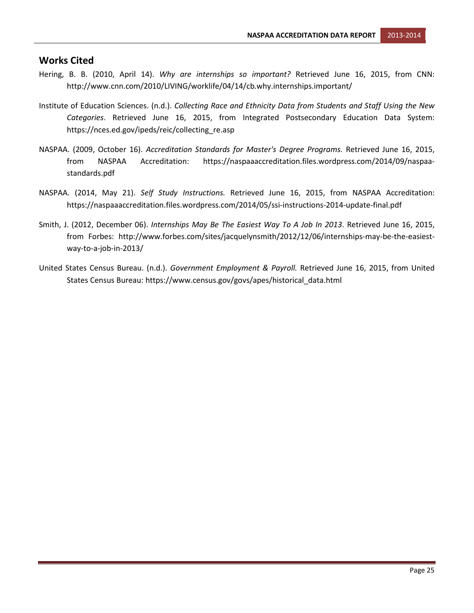#### <span id="page-25-0"></span>**Works Cited**

- Hering, B. B. (2010, April 14). *Why are internships so important?* Retrieved June 16, 2015, from CNN: http://www.cnn.com/2010/LIVING/worklife/04/14/cb.why.internships.important/
- Institute of Education Sciences. (n.d.). *Collecting Race and Ethnicity Data from Students and Staff Using the New Categories*. Retrieved June 16, 2015, from Integrated Postsecondary Education Data System: https://nces.ed.gov/ipeds/reic/collecting\_re.asp
- NASPAA. (2009, October 16). *Accreditation Standards for Master's Degree Programs.* Retrieved June 16, 2015, from NASPAA Accreditation: https://naspaaaccreditation.files.wordpress.com/2014/09/naspaastandards.pdf
- NASPAA. (2014, May 21). *Self Study Instructions.* Retrieved June 16, 2015, from NASPAA Accreditation: https://naspaaaccreditation.files.wordpress.com/2014/05/ssi-instructions-2014-update-final.pdf
- Smith, J. (2012, December 06). *Internships May Be The Easiest Way To A Job In 2013*. Retrieved June 16, 2015, from Forbes: http://www.forbes.com/sites/jacquelynsmith/2012/12/06/internships-may-be-the-easiestway-to-a-job-in-2013/
- United States Census Bureau. (n.d.). *Government Employment & Payroll.* Retrieved June 16, 2015, from United States Census Bureau: https://www.census.gov/govs/apes/historical\_data.html